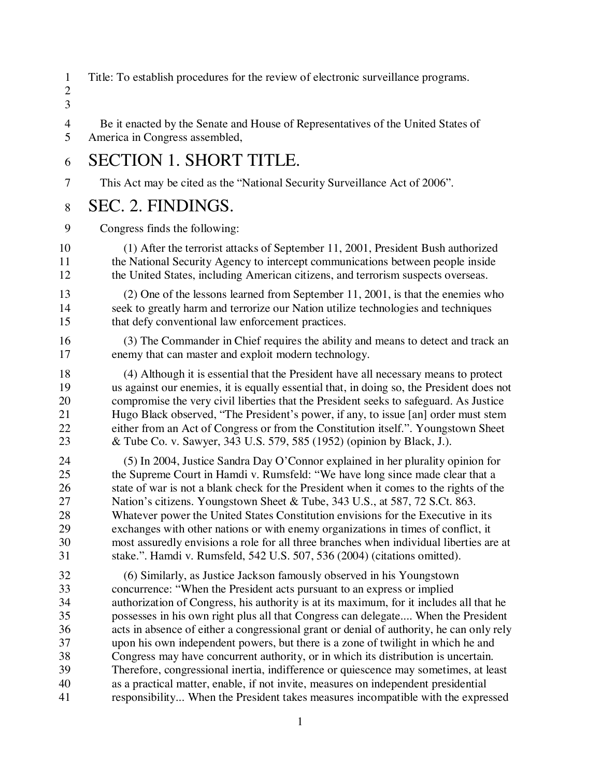Title: To establish procedures for the review of electronic surveillance programs.

#### 

 Be it enacted by the Senate and House of Representatives of the United States of America in Congress assembled,

#### SECTION 1. SHORT TITLE.

This Act may be cited as the "National Security Surveillance Act of 2006".

#### SEC. 2. FINDINGS.

Congress finds the following:

- (1) After the terrorist attacks of September 11, 2001, President Bush authorized the National Security Agency to intercept communications between people inside the United States, including American citizens, and terrorism suspects overseas.
- (2) One of the lessons learned from September 11, 2001, is that the enemies who seek to greatly harm and terrorize our Nation utilize technologies and techniques 15 that defy conventional law enforcement practices.
- (3) The Commander in Chief requires the ability and means to detect and track an enemy that can master and exploit modern technology.
- (4) Although it is essential that the President have all necessary means to protect us against our enemies, it is equally essential that, in doing so, the President does not compromise the very civil liberties that the President seeks to safeguard. As Justice Hugo Black observed, "The President's power, if any, to issue [an] order must stem either from an Act of Congress or from the Constitution itself.". Youngstown Sheet & Tube Co. v. Sawyer, 343 U.S. 579, 585 (1952) (opinion by Black, J.).
- (5) In 2004, Justice Sandra Day O'Connor explained in her plurality opinion for the Supreme Court in Hamdi v. Rumsfeld: "We have long since made clear that a 26 state of war is not a blank check for the President when it comes to the rights of the Nation's citizens. Youngstown Sheet & Tube, 343 U.S., at 587, 72 S.Ct. 863. Whatever power the United States Constitution envisions for the Executive in its exchanges with other nations or with enemy organizations in times of conflict, it most assuredly envisions a role for all three branches when individual liberties are at stake.". Hamdi v. Rumsfeld, 542 U.S. 507, 536 (2004) (citations omitted).
- 32 (6) Similarly, as Justice Jackson famously observed in his Youngstown<br>33 concurrence: "When the President acts pursuant to an express or implied concurrence: "When the President acts pursuant to an express or implied authorization of Congress, his authority is at its maximum, for it includes all that he possesses in his own right plus all that Congress can delegate.... When the President acts in absence of either a congressional grant or denial of authority, he can only rely upon his own independent powers, but there is a zone of twilight in which he and Congress may have concurrent authority, or in which its distribution is uncertain. Therefore, congressional inertia, indifference or quiescence may sometimes, at least as a practical matter, enable, if not invite, measures on independent presidential responsibility... When the President takes measures incompatible with the expressed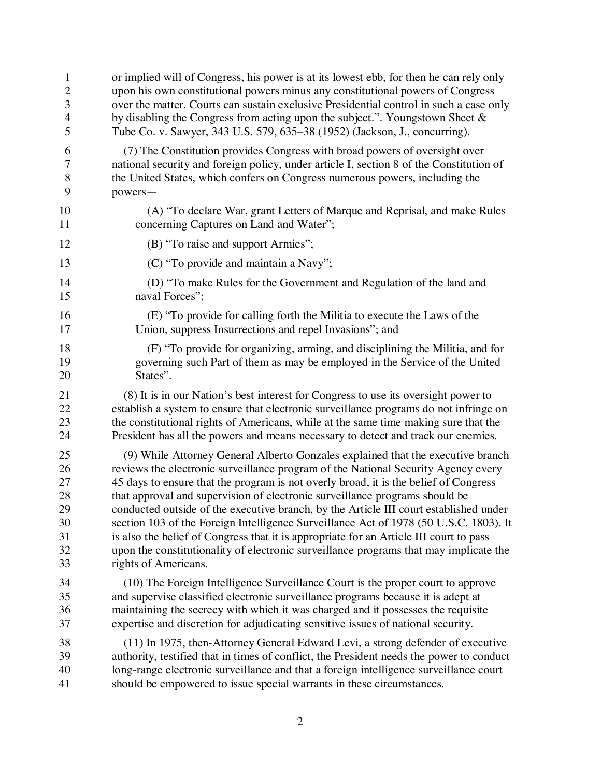| $\mathbf{1}$             | or implied will of Congress, his power is at its lowest ebb, for then he can rely only   |
|--------------------------|------------------------------------------------------------------------------------------|
| $\mathbf{2}$             | upon his own constitutional powers minus any constitutional powers of Congress           |
| 3                        | over the matter. Courts can sustain exclusive Presidential control in such a case only   |
| $\overline{\mathcal{A}}$ | by disabling the Congress from acting upon the subject.". Youngstown Sheet &             |
| 5                        | Tube Co. v. Sawyer, 343 U.S. 579, 635–38 (1952) (Jackson, J., concurring).               |
| 6                        | (7) The Constitution provides Congress with broad powers of oversight over               |
| $\overline{7}$           | national security and foreign policy, under article I, section 8 of the Constitution of  |
| 8                        | the United States, which confers on Congress numerous powers, including the              |
| 9                        | powers-                                                                                  |
| 10                       | (A) "To declare War, grant Letters of Marque and Reprisal, and make Rules                |
| 11                       | concerning Captures on Land and Water";                                                  |
| 12                       | (B) "To raise and support Armies";                                                       |
| 13                       | (C) "To provide and maintain a Navy";                                                    |
| 14                       | (D) "To make Rules for the Government and Regulation of the land and                     |
| 15                       | naval Forces";                                                                           |
| 16                       | (E) "To provide for calling forth the Militia to execute the Laws of the                 |
| 17                       | Union, suppress Insurrections and repel Invasions"; and                                  |
| 18                       | (F) "To provide for organizing, arming, and disciplining the Militia, and for            |
| 19                       | governing such Part of them as may be employed in the Service of the United              |
| 20                       | States".                                                                                 |
| 21                       | (8) It is in our Nation's best interest for Congress to use its oversight power to       |
| 22                       | establish a system to ensure that electronic surveillance programs do not infringe on    |
| 23                       | the constitutional rights of Americans, while at the same time making sure that the      |
| 24                       | President has all the powers and means necessary to detect and track our enemies.        |
| 25                       | (9) While Attorney General Alberto Gonzales explained that the executive branch          |
| 26                       | reviews the electronic surveillance program of the National Security Agency every        |
| 27                       | 45 days to ensure that the program is not overly broad, it is the belief of Congress     |
| 28                       | that approval and supervision of electronic surveillance programs should be              |
| 29                       | conducted outside of the executive branch, by the Article III court established under    |
| 30                       | section 103 of the Foreign Intelligence Surveillance Act of 1978 (50 U.S.C. 1803). It    |
| 31                       | is also the belief of Congress that it is appropriate for an Article III court to pass   |
| 32                       | upon the constitutionality of electronic surveillance programs that may implicate the    |
| 33                       | rights of Americans.                                                                     |
| 34                       | (10) The Foreign Intelligence Surveillance Court is the proper court to approve          |
| 35                       | and supervise classified electronic surveillance programs because it is adept at         |
| 36                       | maintaining the secrecy with which it was charged and it possesses the requisite         |
| 37                       | expertise and discretion for adjudicating sensitive issues of national security.         |
| 38                       | (11) In 1975, then-Attorney General Edward Levi, a strong defender of executive          |
| 39                       | authority, testified that in times of conflict, the President needs the power to conduct |
| 40                       | long-range electronic surveillance and that a foreign intelligence surveillance court    |
| 41                       | should be empowered to issue special warrants in these circumstances.                    |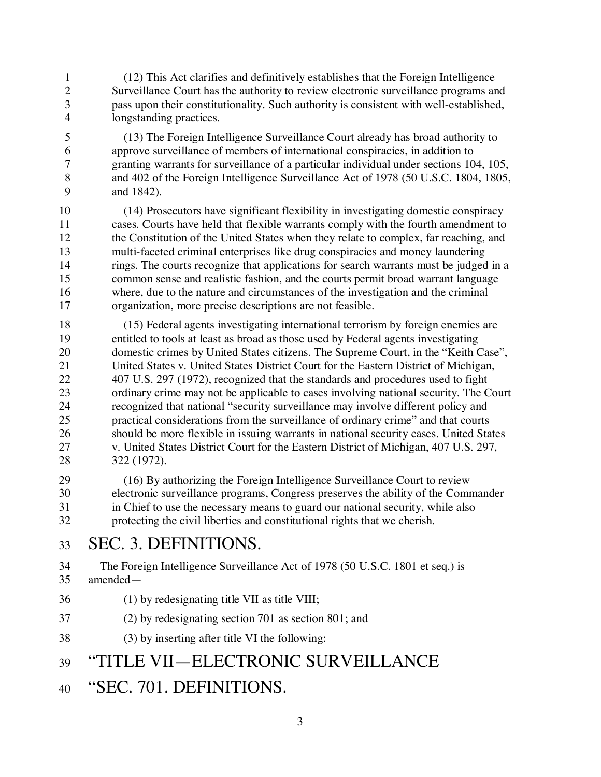- (12) This Act clarifies and definitively establishes that the Foreign Intelligence Surveillance Court has the authority to review electronic surveillance programs and pass upon their constitutionality. Such authority is consistent with well-established, longstanding practices.
- (13) The Foreign Intelligence Surveillance Court already has broad authority to approve surveillance of members of international conspiracies, in addition to granting warrants for surveillance of a particular individual under sections 104, 105, and 402 of the Foreign Intelligence Surveillance Act of 1978 (50 U.S.C. 1804, 1805, and 1842).
- (14) Prosecutors have significant flexibility in investigating domestic conspiracy cases. Courts have held that flexible warrants comply with the fourth amendment to the Constitution of the United States when they relate to complex, far reaching, and multi-faceted criminal enterprises like drug conspiracies and money laundering rings. The courts recognize that applications for search warrants must be judged in a common sense and realistic fashion, and the courts permit broad warrant language where, due to the nature and circumstances of the investigation and the criminal organization, more precise descriptions are not feasible.
- (15) Federal agents investigating international terrorism by foreign enemies are 19 entitled to tools at least as broad as those used by Federal agents investigating<br>20 domestic crimes by United States citizens. The Supreme Court, in the "Keith C domestic crimes by United States citizens. The Supreme Court, in the "Keith Case", United States v. United States District Court for the Eastern District of Michigan, 407 U.S. 297 (1972), recognized that the standards and procedures used to fight 23 ordinary crime may not be applicable to cases involving national security. The Court<br>24 cecognized that national "security surveillance may involve different policy and recognized that national "security surveillance may involve different policy and practical considerations from the surveillance of ordinary crime" and that courts should be more flexible in issuing warrants in national security cases. United States v. United States District Court for the Eastern District of Michigan, 407 U.S. 297, 322 (1972).
- (16) By authorizing the Foreign Intelligence Surveillance Court to review electronic surveillance programs, Congress preserves the ability of the Commander in Chief to use the necessary means to guard our national security, while also protecting the civil liberties and constitutional rights that we cherish.
- SEC. 3. DEFINITIONS.
- The Foreign Intelligence Surveillance Act of 1978 (50 U.S.C. 1801 et seq.) is amended—
- (1) by redesignating title VII as title VIII;
- (2) by redesignating section 701 as section 801; and
- (3) by inserting after title VI the following:

# "TITLE VII—ELECTRONIC SURVEILLANCE

"SEC. 701. DEFINITIONS.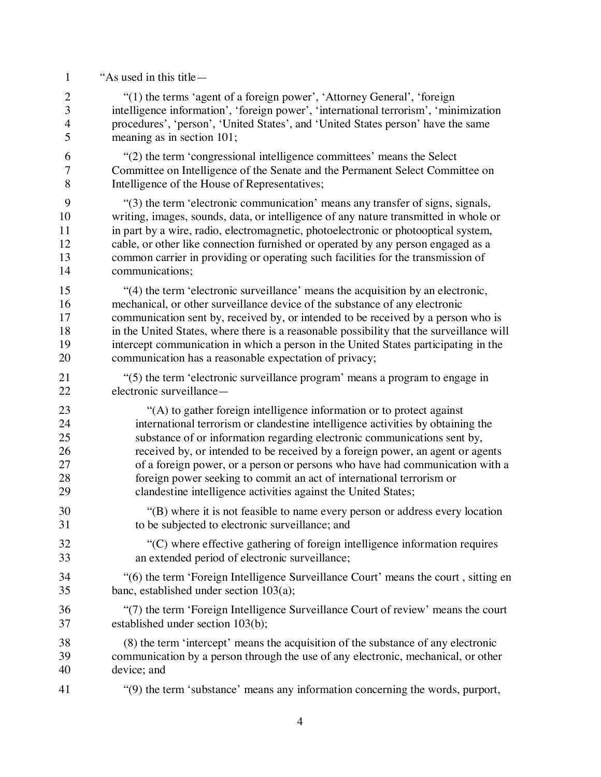| $\mathbf{1}$   | "As used in this title —                                                                 |
|----------------|------------------------------------------------------------------------------------------|
| $\overline{2}$ | "(1) the terms 'agent of a foreign power', 'Attorney General', 'foreign                  |
| 3              | intelligence information', 'foreign power', 'international terrorism', 'minimization     |
| $\overline{4}$ | procedures', 'person', 'United States', and 'United States person' have the same         |
| 5              | meaning as in section 101;                                                               |
| 6              | "(2) the term 'congressional intelligence committees' means the Select                   |
| $\tau$         | Committee on Intelligence of the Senate and the Permanent Select Committee on            |
| 8              | Intelligence of the House of Representatives;                                            |
| 9              | "(3) the term 'electronic communication' means any transfer of signs, signals,           |
| 10             | writing, images, sounds, data, or intelligence of any nature transmitted in whole or     |
| 11             | in part by a wire, radio, electromagnetic, photoelectronic or photooptical system,       |
| 12             | cable, or other like connection furnished or operated by any person engaged as a         |
| 13             | common carrier in providing or operating such facilities for the transmission of         |
| 14             | communications;                                                                          |
| 15             | "(4) the term 'electronic surveillance' means the acquisition by an electronic,          |
| 16             | mechanical, or other surveillance device of the substance of any electronic              |
| 17             | communication sent by, received by, or intended to be received by a person who is        |
| 18             | in the United States, where there is a reasonable possibility that the surveillance will |
| 19             | intercept communication in which a person in the United States participating in the      |
| 20             | communication has a reasonable expectation of privacy;                                   |
| 21             | "(5) the term 'electronic surveillance program' means a program to engage in             |
| 22             | electronic surveillance-                                                                 |
| 23             | "(A) to gather foreign intelligence information or to protect against                    |
| 24             | international terrorism or clandestine intelligence activities by obtaining the          |
| 25             | substance of or information regarding electronic communications sent by,                 |
| 26             | received by, or intended to be received by a foreign power, an agent or agents           |
| 27             | of a foreign power, or a person or persons who have had communication with a             |
| 28             | foreign power seeking to commit an act of international terrorism or                     |
| 29             | clandestine intelligence activities against the United States;                           |
| 30             | "(B) where it is not feasible to name every person or address every location             |
| 31             | to be subjected to electronic surveillance; and                                          |
| 32             | "(C) where effective gathering of foreign intelligence information requires              |
| 33             | an extended period of electronic surveillance;                                           |
| 34             | "(6) the term 'Foreign Intelligence Surveillance Court' means the court, sitting en      |
| 35             | banc, established under section $103(a)$ ;                                               |
| 36             | "(7) the term 'Foreign Intelligence Surveillance Court of review' means the court        |
| 37             | established under section 103(b);                                                        |
| 38             | (8) the term 'intercept' means the acquisition of the substance of any electronic        |
| 39             | communication by a person through the use of any electronic, mechanical, or other        |
| 40             | device; and                                                                              |
| 41             | "(9) the term 'substance' means any information concerning the words, purport,           |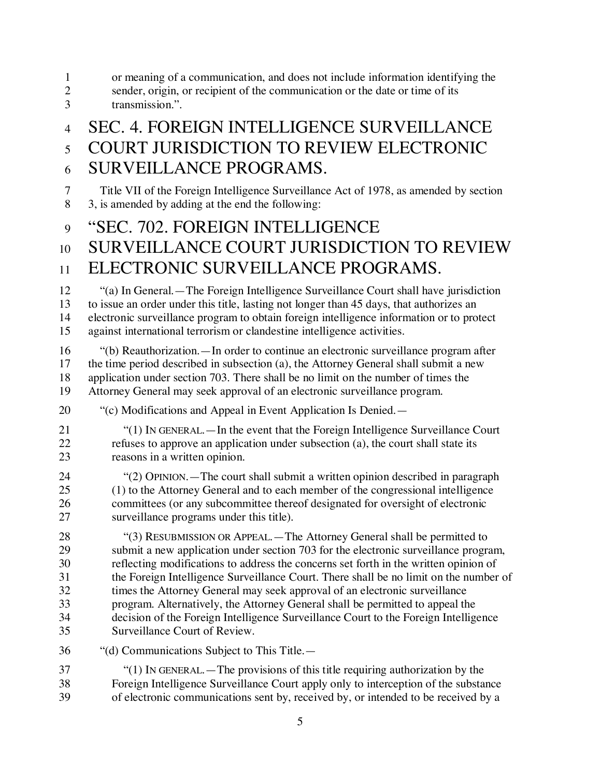|  | or meaning of a communication, and does not include information identifying the |  |  |
|--|---------------------------------------------------------------------------------|--|--|
|  |                                                                                 |  |  |

- 2 sender, origin, or recipient of the communication or the date or time of its transmission." transmission.".
- 

# SEC. 4. FOREIGN INTELLIGENCE SURVEILLANCE COURT JURISDICTION TO REVIEW ELECTRONIC

SURVEILLANCE PROGRAMS.

 Title VII of the Foreign Intelligence Surveillance Act of 1978, as amended by section 3, is amended by adding at the end the following:

# "SEC. 702. FOREIGN INTELLIGENCE

# SURVEILLANCE COURT JURISDICTION TO REVIEW

### ELECTRONIC SURVEILLANCE PROGRAMS.

 "(a) In General.—The Foreign Intelligence Surveillance Court shall have jurisdiction to issue an order under this title, lasting not longer than 45 days, that authorizes an electronic surveillance program to obtain foreign intelligence information or to protect against international terrorism or clandestine intelligence activities.

 "(b) Reauthorization.—In order to continue an electronic surveillance program after the time period described in subsection (a), the Attorney General shall submit a new application under section 703. There shall be no limit on the number of times the Attorney General may seek approval of an electronic surveillance program.

- "(c) Modifications and Appeal in Event Application Is Denied.—
- "(1) IN GENERAL.—In the event that the Foreign Intelligence Surveillance Court refuses to approve an application under subsection (a), the court shall state its reasons in a written opinion.
- "(2) OPINION.—The court shall submit a written opinion described in paragraph (1) to the Attorney General and to each member of the congressional intelligence committees (or any subcommittee thereof designated for oversight of electronic surveillance programs under this title).

 "(3) RESUBMISSION OR APPEAL.—The Attorney General shall be permitted to submit a new application under section 703 for the electronic surveillance program, reflecting modifications to address the concerns set forth in the written opinion of the Foreign Intelligence Surveillance Court. There shall be no limit on the number of times the Attorney General may seek approval of an electronic surveillance program. Alternatively, the Attorney General shall be permitted to appeal the decision of the Foreign Intelligence Surveillance Court to the Foreign Intelligence Surveillance Court of Review.

- "(d) Communications Subject to This Title.—
- "(1) IN GENERAL.—The provisions of this title requiring authorization by the Foreign Intelligence Surveillance Court apply only to interception of the substance of electronic communications sent by, received by, or intended to be received by a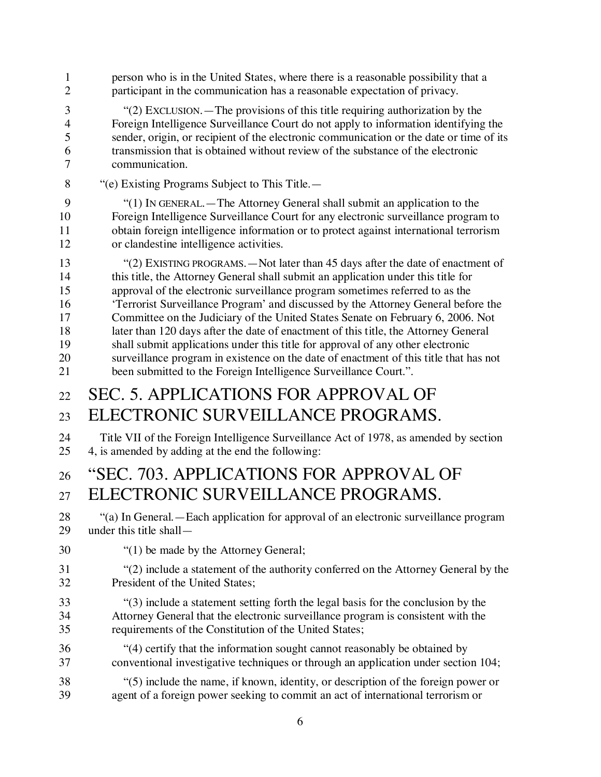| 1              | person who is in the United States, where there is a reasonable possibility that a      |
|----------------|-----------------------------------------------------------------------------------------|
| $\overline{2}$ | participant in the communication has a reasonable expectation of privacy.               |
| 3              | "(2) EXCLUSION. — The provisions of this title requiring authorization by the           |
| 4              | Foreign Intelligence Surveillance Court do not apply to information identifying the     |
| 5              | sender, origin, or recipient of the electronic communication or the date or time of its |
| 6              | transmission that is obtained without review of the substance of the electronic         |
| 7              | communication.                                                                          |
| 8              | "(e) Existing Programs Subject to This Title.—                                          |
| 9              | "(1) IN GENERAL.—The Attorney General shall submit an application to the                |
| 10             | Foreign Intelligence Surveillance Court for any electronic surveillance program to      |
| 11             | obtain foreign intelligence information or to protect against international terrorism   |
| 12             | or clandestine intelligence activities.                                                 |
| 13             | "(2) EXISTING PROGRAMS. - Not later than 45 days after the date of enactment of         |
| 14             | this title, the Attorney General shall submit an application under this title for       |
| 15             | approval of the electronic surveillance program sometimes referred to as the            |
| 16             | 'Terrorist Surveillance Program' and discussed by the Attorney General before the       |
| 17             | Committee on the Judiciary of the United States Senate on February 6, 2006. Not         |
| 18             | later than 120 days after the date of enactment of this title, the Attorney General     |
| 19             | shall submit applications under this title for approval of any other electronic         |
| 20             | surveillance program in existence on the date of enactment of this title that has not   |
| 21             | been submitted to the Foreign Intelligence Surveillance Court.".                        |
| 22             | <b>SEC. 5. APPLICATIONS FOR APPROVAL OF</b>                                             |
| 23             | ELECTRONIC SURVEILLANCE PROGRAMS.                                                       |
| 24             | Title VII of the Foreign Intelligence Surveillance Act of 1978, as amended by section   |
| 25             | 4, is amended by adding at the end the following:                                       |
| 26             | "SEC. 703. APPLICATIONS FOR APPROVAL OF                                                 |
| 27             | ELECTRONIC SURVEILLANCE PROGRAMS.                                                       |
| 28             | "(a) In General. — Each application for approval of an electronic surveillance program  |
| 29             | under this title shall—                                                                 |
| 30             | "(1) be made by the Attorney General;                                                   |
| 31             | "(2) include a statement of the authority conferred on the Attorney General by the      |
| 32             | President of the United States;                                                         |
| 33             | "(3) include a statement setting forth the legal basis for the conclusion by the        |
| 34             | Attorney General that the electronic surveillance program is consistent with the        |
| 35             | requirements of the Constitution of the United States;                                  |
| 36             | "(4) certify that the information sought cannot reasonably be obtained by               |
| 37             | conventional investigative techniques or through an application under section 104;      |
| 38             | "(5) include the name, if known, identity, or description of the foreign power or       |
| 39             | agent of a foreign power seeking to commit an act of international terrorism or         |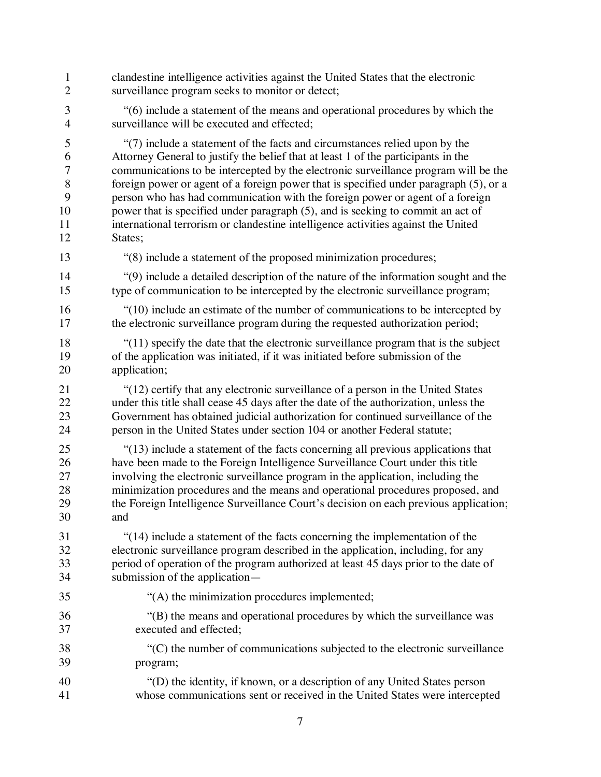clandestine intelligence activities against the United States that the electronic surveillance program seeks to monitor or detect; "(6) include a statement of the means and operational procedures by which the surveillance will be executed and effected; "(7) include a statement of the facts and circumstances relied upon by the Attorney General to justify the belief that at least 1 of the participants in the communications to be intercepted by the electronic surveillance program will be the foreign power or agent of a foreign power that is specified under paragraph (5), or a person who has had communication with the foreign power or agent of a foreign power that is specified under paragraph (5), and is seeking to commit an act of international terrorism or clandestine intelligence activities against the United States; 13 "(8) include a statement of the proposed minimization procedures; "(9) include a detailed description of the nature of the information sought and the type of communication to be intercepted by the electronic surveillance program; "(10) include an estimate of the number of communications to be intercepted by 17 the electronic surveillance program during the requested authorization period; "(11) specify the date that the electronic surveillance program that is the subject of the application was initiated, if it was initiated before submission of the application; "(12) certify that any electronic surveillance of a person in the United States under this title shall cease 45 days after the date of the authorization, unless the 23 Government has obtained judicial authorization for continued surveillance of the person in the United States under section 104 or another Federal statute: person in the United States under section 104 or another Federal statute; "(13) include a statement of the facts concerning all previous applications that 26 have been made to the Foreign Intelligence Surveillance Court under this title<br>27 involving the electronic surveillance program in the application, including the involving the electronic surveillance program in the application, including the minimization procedures and the means and operational procedures proposed, and the Foreign Intelligence Surveillance Court's decision on each previous application; and "(14) include a statement of the facts concerning the implementation of the electronic surveillance program described in the application, including, for any period of operation of the program authorized at least 45 days prior to the date of submission of the application— "(A) the minimization procedures implemented; "(B) the means and operational procedures by which the surveillance was executed and effected; "(C) the number of communications subjected to the electronic surveillance program; "(D) the identity, if known, or a description of any United States person whose communications sent or received in the United States were intercepted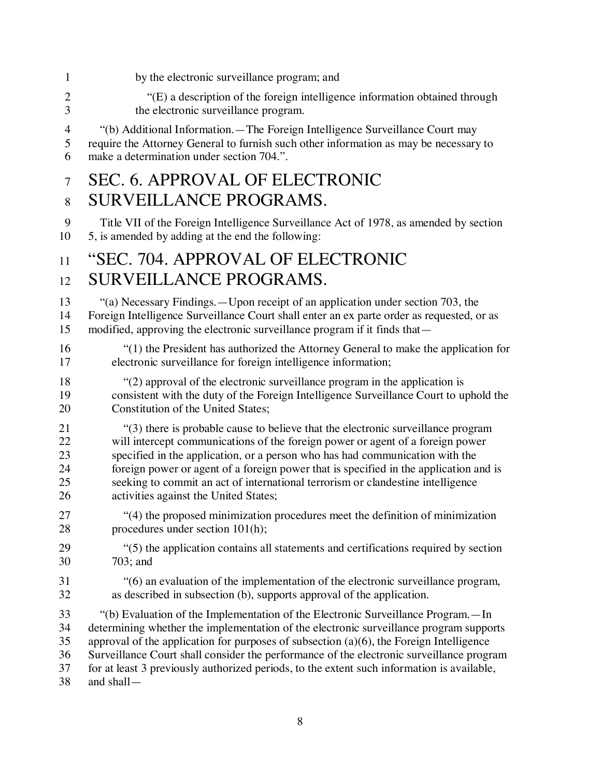| 1              | by the electronic surveillance program; and                                                |
|----------------|--------------------------------------------------------------------------------------------|
| $\overline{2}$ | "(E) a description of the foreign intelligence information obtained through                |
| 3              | the electronic surveillance program.                                                       |
| $\overline{4}$ | "(b) Additional Information. - The Foreign Intelligence Surveillance Court may             |
| 5              | require the Attorney General to furnish such other information as may be necessary to      |
| 6              | make a determination under section 704.".                                                  |
| $\overline{7}$ | <b>SEC. 6. APPROVAL OF ELECTRONIC</b>                                                      |
| 8              | <b>SURVEILLANCE PROGRAMS.</b>                                                              |
| 9              | Title VII of the Foreign Intelligence Surveillance Act of 1978, as amended by section      |
| 10             | 5, is amended by adding at the end the following:                                          |
| 11             | "SEC. 704. APPROVAL OF ELECTRONIC                                                          |
| 12             | SURVEILLANCE PROGRAMS.                                                                     |
| 13             | "(a) Necessary Findings.—Upon receipt of an application under section 703, the             |
| 14             | Foreign Intelligence Surveillance Court shall enter an ex parte order as requested, or as  |
| 15             | modified, approving the electronic surveillance program if it finds that—                  |
| 16             | "(1) the President has authorized the Attorney General to make the application for         |
| 17             | electronic surveillance for foreign intelligence information;                              |
| 18             | "(2) approval of the electronic surveillance program in the application is                 |
| 19             | consistent with the duty of the Foreign Intelligence Surveillance Court to uphold the      |
| 20             | Constitution of the United States;                                                         |
| 21             | "(3) there is probable cause to believe that the electronic surveillance program           |
| 22             | will intercept communications of the foreign power or agent of a foreign power             |
| 23             | specified in the application, or a person who has had communication with the               |
| 24             | foreign power or agent of a foreign power that is specified in the application and is      |
| 25             | seeking to commit an act of international terrorism or clandestine intelligence            |
| 26             | activities against the United States;                                                      |
| 27             | "(4) the proposed minimization procedures meet the definition of minimization              |
| 28             | procedures under section 101(h);                                                           |
| 29             | "(5) the application contains all statements and certifications required by section        |
| 30             | $703$ ; and                                                                                |
| 31             | "(6) an evaluation of the implementation of the electronic surveillance program,           |
| 32             | as described in subsection (b), supports approval of the application.                      |
| 33             | "(b) Evaluation of the Implementation of the Electronic Surveillance Program. — In         |
| 34             | determining whether the implementation of the electronic surveillance program supports     |
| 35             | approval of the application for purposes of subsection $(a)(6)$ , the Foreign Intelligence |
| 36             | Surveillance Court shall consider the performance of the electronic surveillance program   |
| 37             | for at least 3 previously authorized periods, to the extent such information is available, |
| 38             | and shall-                                                                                 |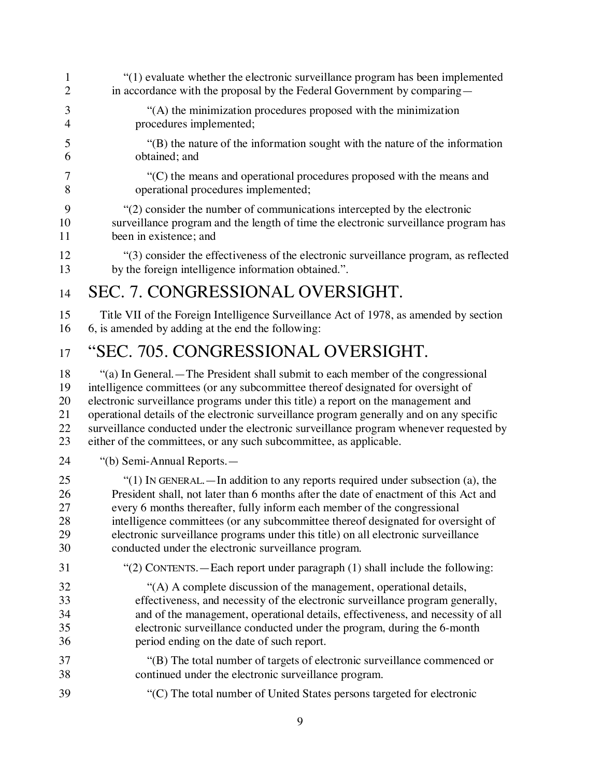"(1) evaluate whether the electronic surveillance program has been implemented 2 in accordance with the proposal by the Federal Government by comparing— "(A) the minimization procedures proposed with the minimization procedures implemented; "(B) the nature of the information sought with the nature of the information obtained; and "(C) the means and operational procedures proposed with the means and operational procedures implemented; "(2) consider the number of communications intercepted by the electronic surveillance program and the length of time the electronic surveillance program has been in existence; and "(3) consider the effectiveness of the electronic surveillance program, as reflected by the foreign intelligence information obtained.". SEC. 7. CONGRESSIONAL OVERSIGHT. Title VII of the Foreign Intelligence Surveillance Act of 1978, as amended by section 6, is amended by adding at the end the following: "SEC. 705. CONGRESSIONAL OVERSIGHT. "(a) In General.—The President shall submit to each member of the congressional intelligence committees (or any subcommittee thereof designated for oversight of electronic surveillance programs under this title) a report on the management and operational details of the electronic surveillance program generally and on any specific surveillance conducted under the electronic surveillance program whenever requested by either of the committees, or any such subcommittee, as applicable. "(b) Semi-Annual Reports.— "(1) IN GENERAL.—In addition to any reports required under subsection (a), the President shall, not later than 6 months after the date of enactment of this Act and every 6 months thereafter, fully inform each member of the congressional intelligence committees (or any subcommittee thereof designated for oversight of electronic surveillance programs under this title) on all electronic surveillance conducted under the electronic surveillance program. "(2) CONTENTS.—Each report under paragraph (1) shall include the following: <sup>4</sup>(A) A complete discussion of the management, operational details,<br>33 effectiveness, and necessity of the electronic surveillance program gene effectiveness, and necessity of the electronic surveillance program generally, and of the management, operational details, effectiveness, and necessity of all electronic surveillance conducted under the program, during the 6-month period ending on the date of such report. "(B) The total number of targets of electronic surveillance commenced or continued under the electronic surveillance program. "(C) The total number of United States persons targeted for electronic